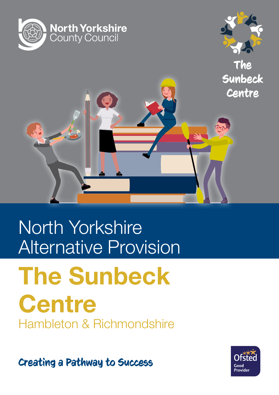

## North Yorkshire Alternative Provision

The Sunbeck **Centre** Hambleton & Richmondshire

Creating a Pathway to Success

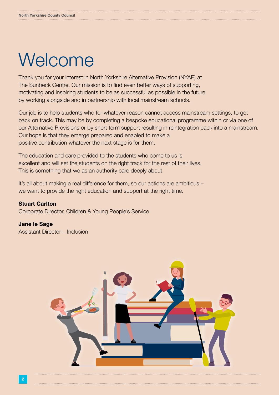## **Welcome**

Thank you for your interest in North Yorkshire Alternative Provision (NYAP) at The Sunbeck Centre. Our mission is to find even better ways of supporting, motivating and inspiring students to be as successful as possible in the future by working alongside and in partnership with local mainstream schools.

Our job is to help students who for whatever reason cannot access mainstream settings, to get back on track. This may be by completing a bespoke educational programme within or via one of our Alternative Provisions or by short term support resulting in reintegration back into a mainstream. Our hope is that they emerge prepared and enabled to make a positive contribution whatever the next stage is for them.

The education and care provided to the students who come to us is excellent and will set the students on the right track for the rest of their lives. This is something that we as an authority care deeply about.

It's all about making a real difference for them, so our actions are ambitious – we want to provide the right education and support at the right time.

#### Stuart Carlton

Corporate Director, Children & Young People's Service

#### Jane le Sage

Assistant Director – Inclusion

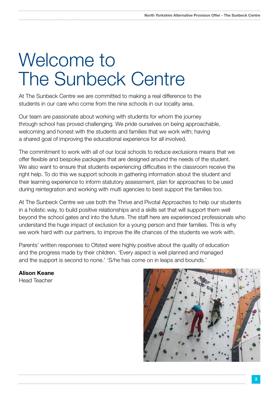## Welcome to The Sunbeck Centre

At The Sunbeck Centre we are committed to making a real difference to the students in our care who come from the nine schools in our locality area.

Our team are passionate about working with students for whom the journey through school has proved challenging. We pride ourselves on being approachable, welcoming and honest with the students and families that we work with; having a shared goal of improving the educational experience for all involved.

The commitment to work with all of our local schools to reduce exclusions means that we offer flexible and bespoke packages that are designed around the needs of the student. We also want to ensure that students experiencing difficulties in the classroom receive the right help. To do this we support schools in gathering information about the student and their learning experience to inform statutory assessment, plan for approaches to be used during reintegration and working with multi agencies to best support the families too.

At The Sunbeck Centre we use both the Thrive and Pivotal Approaches to help our students in a holistic way, to build positive relationships and a skills set that will support them well beyond the school gates and into the future. The staff here are experienced professionals who understand the huge impact of exclusion for a young person and their families. This is why we work hard with our partners, to improve the life chances of the students we work with.

Parents' written responses to Ofsted were highly positive about the quality of education and the progress made by their children. 'Every aspect is well planned and managed and the support is second to none.' 'S/he has come on in leaps and bounds.'

#### Alison Keane Head Teacher

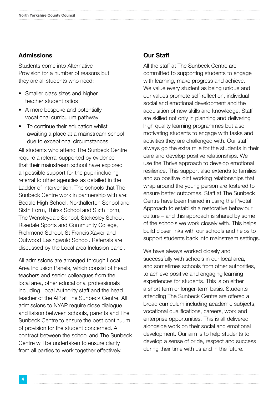#### **Admissions**

Students come into Alternative Provision for a number of reasons but they are all students who need:

- Smaller class sizes and higher teacher student ratios
- A more bespoke and potentially vocational curriculum pathway
- To continue their education whilst awaiting a place at a mainstream school due to exceptional circumstances

All students who attend The Sunbeck Centre require a referral supported by evidence that their mainstream school have explored all possible support for the pupil including referral to other agencies as detailed in the Ladder of Intervention. The schools that The Sunbeck Centre work in partnership with are: Bedale High School, Northallerton School and Sixth Form, Thirsk School and Sixth Form, The Wensleydale School, Stokesley School, Risedale Sports and Community College, Richmond School, St Francis Xavier and Outwood Easingwold School. Referrals are discussed by the Local area Inclusion panel.

All admissions are arranged through Local Area Inclusion Panels, which consist of Head teachers and senior colleagues from the local area, other educational professionals including Local Authority staff and the head teacher of the AP at The Sunbeck Centre. All admissions to NYAP require close dialogue and liaison between schools, parents and The Sunbeck Centre to ensure the best continuum of provision for the student concerned. A contract between the school and The Sunbeck Centre will be undertaken to ensure clarity from all parties to work together effectively.

#### Our Staff

All the staff at The Sunbeck Centre are committed to supporting students to engage with learning, make progress and achieve. We value every student as being unique and our values promote self-reflection, individual social and emotional development and the acquisition of new skills and knowledge. Staff are skilled not only in planning and delivering high quality learning programmes but also motivating students to engage with tasks and activities they are challenged with. Our staff always go the extra mile for the students in their care and develop positive relationships. We use the Thrive approach to develop emotional resilience. This support also extends to families and so positive joint working relationships that wrap around the young person are fostered to ensure better outcomes. Staff at The Sunbeck Centre have been trained in using the Pivotal Approach to establish a restorative behaviour culture – and this approach is shared by some of the schools we work closely with. This helps build closer links with our schools and helps to support students back into mainstream settings.

We have always worked closely and successfully with schools in our local area, and sometimes schools from other authorities, to achieve positive and engaging learning experiences for students. This is on either a short term or longer-term basis. Students attending The Sunbeck Centre are offered a broad curriculum including academic subjects, vocational qualifications, careers, work and enterprise opportunities. This is all delivered alongside work on their social and emotional development. Our aim is to help students to develop a sense of pride, respect and success during their time with us and in the future.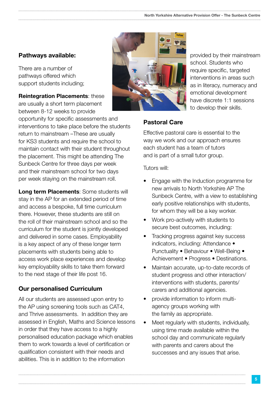## Pathways available:

There are a number of pathways offered which support students including;

Reintegration Placements: these are usually a short term placement between 8-12 weeks to provide

opportunity for specific assessments and interventions to take place before the students return to mainstream –These are usually for KS3 students and require the school to maintain contact with their student throughout the placement. This might be attending The Sunbeck Centre for three days per week and their mainstream school for two days per week staying on the mainstream roll.

Long term Placements: Some students will stay in the AP for an extended period of time and access a bespoke, full time curriculum there. However, these students are still on the roll of their mainstream school and so the curriculum for the student is jointly developed and delivered in some cases. Employability is a key aspect of any of these longer term placements with students being able to access work place experiences and develop key employability skills to take them forward to the next stage of their life post 16.

## Our personalised Curriculum

All our students are assessed upon entry to the AP using screening tools such as CAT4, and Thrive assessments. In addition they are assessed in English, Maths and Science lessons in order that they have access to a highly personalised education package which enables them to work towards a level of certification or qualification consistent with their needs and abilities. This is in addition to the information



provided by their mainstream school. Students who require specific, targeted interventions in areas such as in literacy, numeracy and emotional development have discrete 1:1 sessions to develop their skills.

## Pastoral Care

Effective pastoral care is essential to the way we work and our approach ensures each student has a team of tutors and is part of a small tutor group.

Tutors will:

- Engage with the Induction programme for new arrivals to North Yorkshire AP The Sunbeck Centre, with a view to establishing early positive relationships with students, for whom they will be a key worker.
- Work pro-actively with students to secure best outcomes, including:
- Tracking progress against key success indicators, including: Attendance • Punctuality • Behaviour • Well-Being • Achievement • Progress • Destinations.
- Maintain accurate, up-to-date records of student progress and other interaction/ interventions with students, parents/ carers and additional agencies.
- provide information to inform multiagency groups working with the family as appropriate.
- Meet regularly with students, individually, using time made available within the school day and communicate regularly with parents and carers about the successes and any issues that arise.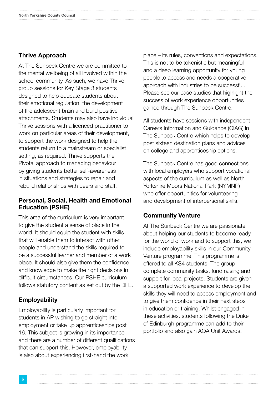#### Thrive Approach

At The Sunbeck Centre we are committed to the mental wellbeing of all involved within the school community. As such, we have Thrive group sessions for Key Stage 3 students designed to help educate students about their emotional regulation, the development of the adolescent brain and build positive attachments. Students may also have individual Thrive sessions with a licenced practitioner to work on particular areas of their development, to support the work designed to help the students return to a mainstream or specialist setting, as required. Thrive supports the Pivotal approach to managing behaviour by giving students better self-awareness in situations and strategies to repair and rebuild relationships with peers and staff.

#### Personal, Social, Health and Emotional Education (PSHE)

This area of the curriculum is very important to give the student a sense of place in the world. It should equip the student with skills that will enable them to interact with other people and understand the skills required to be a successful learner and member of a work place. It should also give them the confidence and knowledge to make the right decisions in difficult circumstances. Our PSHE curriculum follows statutory content as set out by the DFE.

#### **Employability**

Employability is particularly important for students in AP wishing to go straight into employment or take up apprenticeships post 16. This subject is growing in its importance and there are a number of different qualifications that can support this. However, employability is also about experiencing first-hand the work

place – its rules, conventions and expectations. This is not to be tokenistic but meaningful and a deep learning opportunity for young people to access and needs a cooperative approach with industries to be successful. Please see our case studies that highlight the success of work experience opportunities gained through The Sunbeck Centre.

All students have sessions with independent Careers Information and Guidance (CIAG) in The Sunbeck Centre which helps to develop post sixteen destination plans and advices on college and apprenticeship options.

The Sunbeck Centre has good connections with local employers who support vocational aspects of the curriculum as well as North Yorkshire Moors National Park (NYMNP) who offer opportunities for volunteering and development of interpersonal skills.

#### Community Venture

At The Sunbeck Centre we are passionate about helping our students to become ready for the world of work and to support this, we include employability skills in our Community Venture programme. This programme is offered to all KS4 students. The group complete community tasks, fund raising and support for local projects. Students are given a supported work experience to develop the skills they will need to access employment and to give them confidence in their next steps in education or training. Whilst engaged in these activities, students following the Duke of Edinburgh programme can add to their portfolio and also gain AQA Unit Awards.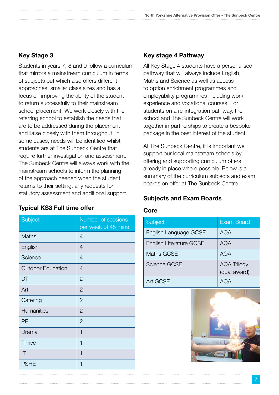#### Key Stage 3

Students in years 7, 8 and 9 follow a curriculum that mirrors a mainstream curriculum in terms of subjects but which also offers different approaches, smaller class sizes and has a focus on improving the ability of the student to return successfully to their mainstream school placement. We work closely with the referring school to establish the needs that are to be addressed during the placement and liaise closely with them throughout. In some cases, needs will be identified whilst students are at The Sunbeck Centre that require further investigation and assessment. The Sunbeck Centre will always work with the mainstream schools to inform the planning of the approach needed when the student returns to their setting, any requests for statutory assessment and additional support.

#### Typical KS3 Full time offer

| Subject                  | Number of sessions<br>per week of 45 mins |
|--------------------------|-------------------------------------------|
| <b>Maths</b>             | $\overline{4}$                            |
| English                  | $\overline{4}$                            |
| Science                  | $\overline{4}$                            |
| <b>Outdoor Education</b> | 4                                         |
| DT                       | $\overline{2}$                            |
| Art                      | $\mathbf{2}$                              |
| Catering                 | $\overline{2}$                            |
| <b>Humanities</b>        | 2                                         |
| PE                       | 2                                         |
| Drama                    | 1                                         |
| <b>Thrive</b>            | 1                                         |
| $\mathsf{I}$             | 1                                         |
| <b>PSHE</b>              | 1                                         |

#### Key stage 4 Pathway

All Key Stage 4 students have a personalised pathway that will always include English, Maths and Science as well as access to option enrichment programmes and employability programmes including work experience and vocational courses. For students on a re-integration pathway, the school and The Sunbeck Centre will work together in partnerships to create a bespoke package in the best interest of the student.

At The Sunbeck Centre, it is important we support our local mainstream schools by offering and supporting curriculum offers already in place where possible. Below is a summary of the curriculum subjects and exam boards on offer at The Sunbeck Centre.

### Subjects and Exam Boards

#### Core

| <b>Subject</b>          | <b>Exam Board</b>                  |
|-------------------------|------------------------------------|
| English Language GCSE   | <b>AQA</b>                         |
| English Literature GCSE | <b>AQA</b>                         |
| <b>Maths GCSE</b>       | <b>AQA</b>                         |
| Science GCSE            | <b>AQA Trilogy</b><br>(dual award) |
| Art GCSE                | A()A                               |

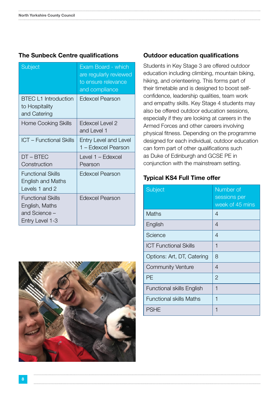#### The Sunbeck Centre qualifications

| Subject                                                                        | Exam Board - which<br>are regularly reviewed<br>to ensure relevance<br>and compliance |
|--------------------------------------------------------------------------------|---------------------------------------------------------------------------------------|
| <b>BTEC L1 Introduction</b><br>to Hospitality<br>and Catering                  | <b>Edexcel Pearson</b>                                                                |
| <b>Home Cooking Skills</b>                                                     | Edexcel Level 2<br>and Level 1                                                        |
| <b>ICT - Functional Skills</b>                                                 | Entry Level and Level<br>1 - Edexcel Pearson                                          |
| DT-BTEC<br>Construction                                                        | Level 1 - Edexcel<br>Pearson                                                          |
| <b>Functional Skills</b><br><b>English and Maths</b><br>Levels 1 and 2         | <b>Edexcel Pearson</b>                                                                |
| <b>Functional Skills</b><br>English, Maths<br>and Science -<br>Entry Level 1-3 | <b>Edexcel Pearson</b>                                                                |



#### Outdoor education qualifications

Students in Key Stage 3 are offered outdoor education including climbing, mountain biking, hiking, and orienteering. This forms part of their timetable and is designed to boost selfconfidence, leadership qualities, team work and empathy skills. Key Stage 4 students may also be offered outdoor education sessions, especially if they are looking at careers in the Armed Forces and other careers involving physical fitness. Depending on the programme designed for each individual, outdoor education can form part of other qualifications such as Duke of Edinburgh and GCSE PE in conjunction with the mainstream setting.

### Typical KS4 Full Time offer

| <b>Subject</b>                   | Number of<br>sessions per<br>week of 45 mins |
|----------------------------------|----------------------------------------------|
| <b>Maths</b>                     | 4                                            |
| English                          | 4                                            |
| Science                          | 4                                            |
| <b>ICT Functional Skills</b>     | 1                                            |
| Options: Art, DT, Catering       | 8                                            |
| <b>Community Venture</b>         | 4                                            |
| PE                               | $\overline{2}$                               |
| <b>Functional skills English</b> | 1                                            |
| <b>Functional skills Maths</b>   | 1                                            |
| <b>PSHE</b>                      | 1                                            |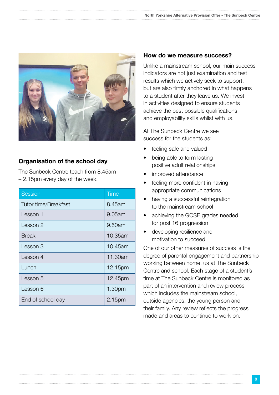

## Organisation of the school day

The Sunbeck Centre teach from 8.45am – 2.15pm every day of the week.

| <b>Session</b>              | Time    |
|-----------------------------|---------|
| <b>Tutor time/Breakfast</b> | 8.45am  |
| Lesson 1                    | 9.05am  |
| Lesson 2                    | 9.50am  |
| <b>Break</b>                | 10.35am |
| Lesson 3                    | 10.45am |
| Lesson 4                    | 11.30am |
| Lunch                       | 12.15pm |
| Lesson 5                    | 12.45pm |
| Lesson 6                    | 1.30pm  |
| End of school day           | 2.15pm  |

### How do we measure success?

Unlike a mainstream school, our main success indicators are not just examination and test results which we actively seek to support, but are also firmly anchored in what happens to a student after they leave us. We invest in activities designed to ensure students achieve the best possible qualifications and employability skills whilst with us.

At The Sunbeck Centre we see success for the students as:

- feeling safe and valued
- being able to form lasting positive adult relationships
- improved attendance
- feeling more confident in having appropriate communications
- having a successful reintegration to the mainstream school
- achieving the GCSE grades needed for post 16 progression
- developing resilience and motivation to succeed

One of our other measures of success is the degree of parental engagement and partnership working between home, us at The Sunbeck Centre and school. Each stage of a student's time at The Sunbeck Centre is monitored as part of an intervention and review process which includes the mainstream school. outside agencies, the young person and their family. Any review reflects the progress made and areas to continue to work on.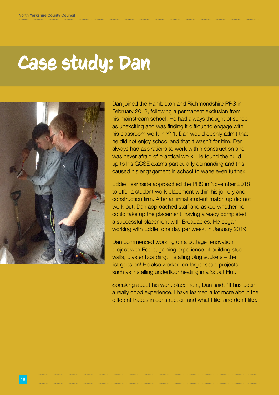# Case study: Dan



Dan joined the Hambleton and Richmondshire PRS in February 2018, following a permanent exclusion from his mainstream school. He had always thought of school as unexciting and was finding it difficult to engage with his classroom work in Y11. Dan would openly admit that he did not enjoy school and that it wasn't for him. Dan always had aspirations to work within construction and was never afraid of practical work. He found the build up to his GCSE exams particularly demanding and this caused his engagement in school to wane even further.

Eddie Fearnside approached the PRS in November 2018 to offer a student work placement within his joinery and construction firm. After an initial student match up did not work out, Dan approached staff and asked whether he could take up the placement, having already completed a successful placement with Broadacres. He began working with Eddie, one day per week, in January 2019.

Dan commenced working on a cottage renovation project with Eddie, gaining experience of building stud walls, plaster boarding, installing plug sockets – the list goes on! He also worked on larger scale projects such as installing underfloor heating in a Scout Hut.

Speaking about his work placement, Dan said, "It has been a really good experience. I have learned a lot more about the different trades in construction and what I like and don't like."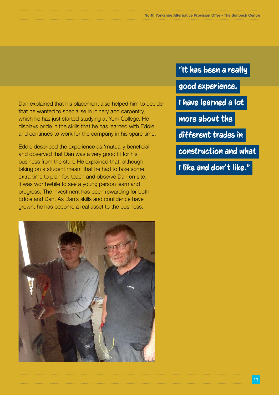Dan explained that his placement also helped him to decide that he wanted to specialise in joinery and carpentry, which he has just started studying at York College. He displays pride in the skills that he has learned with Eddie and continues to work for the company in his spare time.

Eddie described the experience as 'mutually beneficial' and observed that Dan was a very good fit for his business from the start. He explained that, although taking on a student meant that he had to take some extra time to plan for, teach and observe Dan on site, it was worthwhile to see a young person learn and progress. The investment has been rewarding for both Eddie and Dan. As Dan's skills and confidence have grown, he has become a real asset to the business.



"It has been a really

good experience.

I have learned a lot

more about the

different trades in

construction and what

I like and don't like."